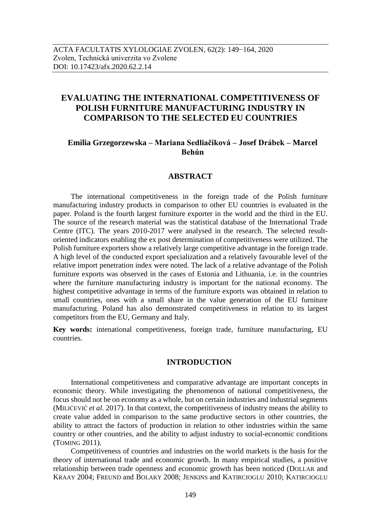# **EVALUATING THE INTERNATIONAL COMPETITIVENESS OF POLISH FURNITURE MANUFACTURING INDUSTRY IN COMPARISON TO THE SELECTED EU COUNTRIES**

# **Emilia Grzegorzewska – Mariana Sedliačiková – Josef Drábek – Marcel Behún**

# **ABSTRACT**

The international competitiveness in the foreign trade of the Polish furniture manufacturing industry products in comparison to other EU countries is evaluated in the paper. Poland is the fourth largest furniture exporter in the world and the third in the EU. The source of the research material was the statistical database of the International Trade Centre (ITC). The years 2010-2017 were analysed in the research. The selected resultoriented indicators enabling the ex post determination of competitiveness were utilized. The Polish furniture exporters show a relatively large competitive advantage in the foreign trade. A high level of the conducted export specialization and a relatively favourable level of the relative import penetration index were noted. The lack of a relative advantage of the Polish furniture exports was observed in the cases of Estonia and Lithuania, i.e. in the countries where the furniture manufacturing industry is important for the national economy. The highest competitive advantage in terms of the furniture exports was obtained in relation to small countries, ones with a small share in the value generation of the EU furniture manufacturing. Poland has also demonstrated competitiveness in relation to its largest competitors from the EU, Germany and Italy.

**Key words:** intenational competitiveness, foreign trade, furniture manufacturing, EU countries.

# **INTRODUCTION**

International competitiveness and comparative advantage are important concepts in economic theory. While investigating the phenomenon of national competitiveness, the focus should not be on economy as a whole, but on certain industries and industrial segments (MILIĆEVIĆ *et al.* 2017). In that context, the competitiveness of industry means the ability to create value added in comparison to the same productive sectors in other countries, the ability to attract the factors of production in relation to other industries within the same country or other countries, and the ability to adjust industry to social-economic conditions (TOMING 2011).

Competitiveness of countries and industries on the world markets is the basis for the theory of international trade and economic growth. In many empirical studies, a positive relationship between trade openness and economic growth has been noticed (DOLLAR and KRAAY 2004; FREUND and BOLAKY 2008; JENKINS and KATIRCIOGLU 2010; KATIRCIOGLU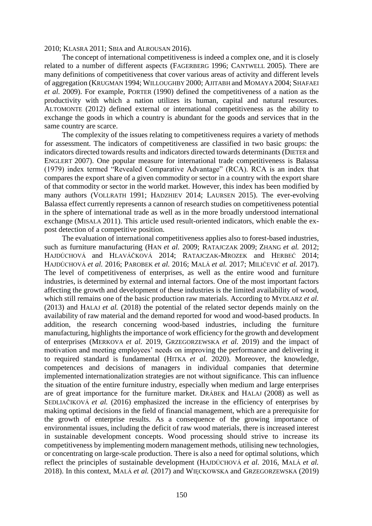2010; KLASRA 2011; SBIA and ALROUSAN 2016).

The concept of international competitiveness is indeed a complex one, and it is closely related to a number of different aspects (FAGERBERG 1996; CANTWELL 2005). There are many definitions of competitiveness that cover various areas of activity and different levels of aggregation (KRUGMAN 1994; WILLOUGHBY 2000; AJITABH and MOMAYA 2004; SHAFAEI *et al.* 2009). For example, PORTER (1990) defined the competitiveness of a nation as the productivity with which a nation utilizes its human, capital and natural resources. ALTOMONTE (2012) defined external or international competitiveness as the ability to exchange the goods in which a country is abundant for the goods and services that in the same country are scarce.

The complexity of the issues relating to competitiveness requires a variety of methods for assessment. The indicators of competitiveness are classified in two basic groups: the indicators directed towards results and indicators directed towards determinants (DIETER and ENGLERT 2007). One popular measure for international trade competitiveness is Balassa (1979) index termed "Revealed Comparative Advantage" (RCA). RCA is an index that compares the export share of a given commodity or sector in a country with the export share of that commodity or sector in the world market. However, this index has been modified by many authors (VOLLRATH 1991; HADZHIEV 2014; LAURSEN 2015). The ever-evolving Balassa effect currently represents a cannon of research studies on competitiveness potential in the sphere of international trade as well as in the more broadly understood international exchange (MISALA 2011). This article used result-oriented indicators, which enable the expost detection of a competitive position.

The evaluation of international competitiveness applies also to forest-based industries, such as furniture manufacturing (HAN *et al.* 2009; RATAJCZAK 2009; ZHANG *et al.* 2012; HAJDÚCHOVÁ and HLAVÁČKOVÁ 2014; RATAJCZAK-MROZEK and HERBEĆ 2014; HAJDÚCHOVÁ *et al.* 2016; PAROBEK *et al.* 2016; MALÁ *et al.* 2017; MILIĆEVIĆ *et al.* 2017). The level of competitiveness of enterprises, as well as the entire wood and furniture industries, is determined by external and internal factors. One of the most important factors affecting the growth and development of these industries is the limited availability of wood, which still remains one of the basic production raw materials. According to MYDLARZ *et al.* (2013) and HALAJ *et al.* (2018) the potential of the related sector depends mainly on the availability of raw material and the demand reported for wood and wood-based products. In addition, the research concerning wood-based industries, including the furniture manufacturing, highlights the importance of work efficiency for the growth and development of enterprises (MERKOVA *et al.* 2019, GRZEGORZEWSKA *et al.* 2019) and the impact of motivation and meeting employees' needs on improving the performance and delivering it to required standard is fundamental (HITKA *et al.* 2020). Moreover, the knowledge, competences and decisions of managers in individual companies that determine implemented internationalization strategies are not without significance. This can influence the situation of the entire furniture industry, especially when medium and large enterprises are of great importance for the furniture market. DRÁBEK and HALAJ (2008) as well as SEDLIAČIKOVÁ *et al.* (2016) emphasized the increase in the efficiency of enterprises by making optimal decisions in the field of financial management, which are a prerequisite for the growth of enterprise results. As a consequence of the growing importance of environmental issues, including the deficit of raw wood materials, there is increased interest in sustainable development concepts. Wood processing should strive to increase its competitiveness by implementing modern management methods, utilising new technologies, or concentrating on large-scale production. There is also a need for optimal solutions, which reflect the principles of sustainable development (HAJDÚCHOVÁ *et al.* 2016, MALÁ *et al.* 2018). In this context, MALÁ *et al.* (2017) and WIĘCKOWSKA and GRZEGORZEWSKA (2019)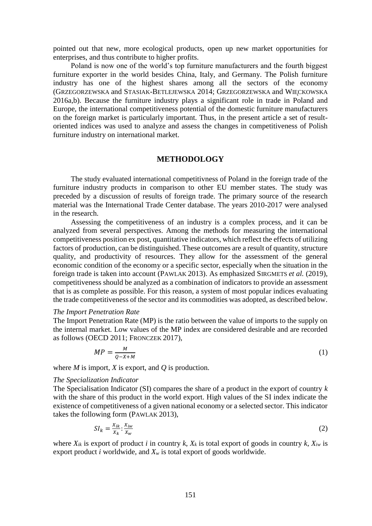pointed out that new, more ecological products, open up new market opportunities for enterprises, and thus contribute to higher profits.

Poland is now one of the world's top furniture manufacturers and the fourth biggest furniture exporter in the world besides China, Italy, and Germany. The Polish furniture industry has one of the highest shares among all the sectors of the economy (GRZEGORZEWSKA and STASIAK-BETLEJEWSKA 2014; GRZEGORZEWSKA and WIECKOWSKA 2016a,b). Because the furniture industry plays a significant role in trade in Poland and Europe, the international competitiveness potential of the domestic furniture manufacturers on the foreign market is particularly important. Thus, in the present article a set of resultoriented indices was used to analyze and assess the changes in competitiveness of Polish furniture industry on international market.

## **METHODOLOGY**

The study evaluated international competitivness of Poland in the foreign trade of the furniture industry products in comparison to other EU member states. The study was preceded by a discussion of results of foreign trade. The primary source of the research material was the International Trade Center database. The years 2010-2017 were analysed in the research.

Assessing the competitiveness of an industry is a complex process, and it can be analyzed from several perspectives. Among the methods for measuring the international competitiveness position ex post, quantitative indicators, which reflect the effects of utilizing factors of production, can be distinguished. These outcomes are a result of quantity, structure quality, and productivity of resources. They allow for the assessment of the general economic condition of the economy or a specific sector, especially when the situation in the foreign trade is taken into account (PAWLAK 2013). As emphasized SIRGMETS *et al.* (2019), competitiveness should be analyzed as a combination of indicators to provide an assessment that is as complete as possible. For this reason, a system of most popular indices evaluating the trade competitiveness of the sector and its commodities was adopted, as described below.

### *The Import Penetration Rate*

The Import Penetration Rate (MP) is the ratio between the value of imports to the supply on the internal market. Low values of the MP index are considered desirable and are recorded as follows (OECD 2011; FRONCZEK 2017),

$$
MP = \frac{M}{Q - X + M} \tag{1}
$$

where *M* is import, *X* is export, and *Q* is production.

#### *The Specialization Indicator*

The Specialisation Indicator (SI) compares the share of a product in the export of country *k* with the share of this product in the world export. High values of the SI index indicate the existence of competitiveness of a given national economy or a selected sector. This indicator takes the following form (PAWLAK 2013),

$$
SI_k = \frac{X_{ik}}{X_k} : \frac{X_{iw}}{X_w} \tag{2}
$$

where  $X_{ik}$  is export of product *i* in country *k*,  $X_k$  is total export of goods in country *k*,  $X_{iw}$  is export product *i* worldwide, and *X<sup>w</sup>* is total export of goods worldwide.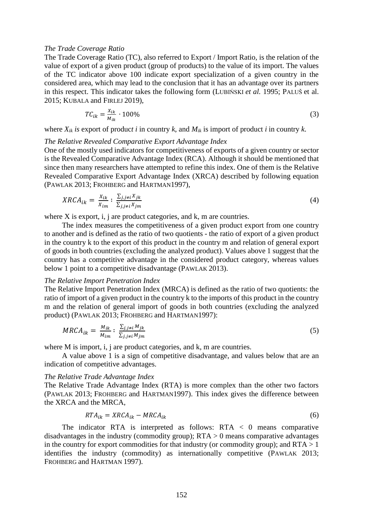#### *The Trade Coverage Ratio*

The Trade Coverage Ratio (TC), also referred to Export / Import Ratio, is the relation of the value of export of a given product (group of products) to the value of its import. The values of the TC indicator above 100 indicate export specialization of a given country in the considered area, which may lead to the conclusion that it has an advantage over its partners in this respect. This indicator takes the following form (LUBIŃSKI *et al.* 1995; PALUŠ et al. 2015; KUBALA and FIRLEJ 2019),

$$
TC_{ik} = \frac{X_{ik}}{M_{ik}} \cdot 100\%
$$
\n
$$
\tag{3}
$$

where  $X_{ik}$  *is* export of product *i* in country *k*, and  $M_{ik}$  is import of product *i* in country *k*.

### *The Relative Revealed Comparative Export Advantage Index*

One of the mostly used indicators for competitiveness of exports of a given country or sector is the Revealed Comparative Advantage Index (RCA). Although it should be mentioned that since then many researchers have attempted to refine this index. One of them is the Relative Revealed Comparative Export Advantage Index (XRCA) described by following equation (PAWLAK 2013; FROHBERG and HARTMAN1997),

$$
XRCA_{ik} = \frac{X_{ik}}{X_{im}} \colon \frac{\sum_{j,j\neq i} X_{jk}}{\sum_{j,j\neq i} X_{jm}}\tag{4}
$$

where X is export, i, j are product categories, and k, m are countries.

The index measures the competitiveness of a given product export from one country to another and is defined as the ratio of two quotients - the ratio of export of a given product in the country k to the export of this product in the country m and relation of general export of goods in both countries (excluding the analyzed product). Values above 1 suggest that the country has a competitive advantage in the considered product category, whereas values below 1 point to a competitive disadvantage (PAWLAK 2013).

#### *The Relative Import Penetration Index*

The Relative Import Penetration Index (MRCA) is defined as the ratio of two quotients: the ratio of import of a given product in the country k to the imports of this product in the country m and the relation of general import of goods in both countries (excluding the analyzed product) (PAWLAK 2013; FROHBERG and HARTMAN1997):

$$
MRCA_{ik} = \frac{M_{ik}}{M_{im}} \colon \frac{\sum_{j,j\neq i} M_{jk}}{\sum_{j,j\neq i} M_{jm}}
$$
(5)

where M is import, i, j are product categories, and k, m are countries.

A value above 1 is a sign of competitive disadvantage, and values below that are an indication of competitive advantages.

#### *The Relative Trade Advantage Index*

The Relative Trade Advantage Index (RTA) is more complex than the other two factors (PAWLAK 2013; FROHBERG and HARTMAN1997). This index gives the difference between the XRCA and the MRCA,

$$
RTA_{ik} = XRCA_{ik} - MRCA_{ik}
$$
 (6)

The indicator RTA is interpreted as follows:  $RTA < 0$  means comparative disadvantages in the industry (commodity group);  $RTA > 0$  means comparative advantages in the country for export commodities for that industry (or commodity group); and  $RTA > 1$ identifies the industry (commodity) as internationally competitive (PAWLAK 2013; FROHBERG and HARTMAN 1997).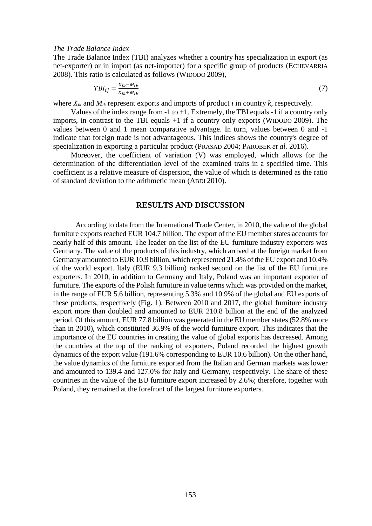#### *The Trade Balance Index*

The Trade Balance Index (TBI) analyzes whether a country has specialization in export (as net-exporter) or in import (as net-importer) for a specific group of products (ECHEVARRIA 2008). This ratio is calculated as follows (WIDODO 2009),

$$
TBI_{ij} = \frac{X_{ik} - M_{ik}}{X_{ik} + M_{ik}}\tag{7}
$$

where  $X_{ik}$  and  $M_{ik}$  represent exports and imports of product *i* in country *k*, respectively.

Values of the index range from  $-1$  to  $+1$ . Extremely, the TBI equals  $-1$  if a country only imports, in contrast to the TBI equals +1 if a country only exports (WIDODO 2009). The values between 0 and 1 mean comparative advantage. In turn, values between 0 and -1 indicate that foreign trade is not advantageous. This indices shows the country's degree of specialization in exporting a particular product (PRASAD 2004; PAROBEK *et al.* 2016).

Moreover, the coefficient of variation (V) was employed, which allows for the determination of the differentiation level of the examined traits in a specified time. This coefficient is a relative measure of dispersion, the value of which is determined as the ratio of standard deviation to the arithmetic mean (ABDI 2010).

### **RESULTS AND DISCUSSION**

According to data from the International Trade Center, in 2010, the value of the global furniture exports reached EUR 104.7 billion. The export of the EU member states accounts for nearly half of this amount. The leader on the list of the EU furniture industry exporters was Germany. The value of the products of this industry, which arrived at the foreign market from Germany amounted to EUR 10.9 billion, which represented 21.4% of the EU export and 10.4% of the world export. Italy (EUR 9.3 billion) ranked second on the list of the EU furniture exporters. In 2010, in addition to Germany and Italy, Poland was an important exporter of furniture. The exports of the Polish furniture in value terms which was provided on the market, in the range of EUR 5.6 billion, representing 5.3% and 10.9% of the global and EU exports of these products, respectively (Fig. 1). Between 2010 and 2017, the global furniture industry export more than doubled and amounted to EUR 210.8 billion at the end of the analyzed period. Of this amount, EUR 77.8 billion was generated in the EU member states (52.8% more than in 2010), which constituted 36.9% of the world furniture export. This indicates that the importance of the EU countries in creating the value of global exports has decreased. Among the countries at the top of the ranking of exporters, Poland recorded the highest growth dynamics of the export value (191.6% corresponding to EUR 10.6 billion). On the other hand, the value dynamics of the furniture exported from the Italian and German markets was lower and amounted to 139.4 and 127.0% for Italy and Germany, respectively. The share of these countries in the value of the EU furniture export increased by 2.6%; therefore, together with Poland, they remained at the forefront of the largest furniture exporters.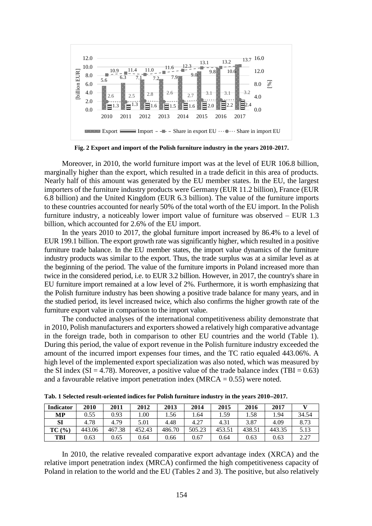

**Fig. 2 Export and import of the Polish furniture industry in the years 2010-2017.**

Moreover, in 2010, the world furniture import was at the level of EUR 106.8 billion, marginally higher than the export, which resulted in a trade deficit in this area of products. Nearly half of this amount was generated by the EU member states. In the EU, the largest importers of the furniture industry products were Germany (EUR 11.2 billion), France (EUR 6.8 billion) and the United Kingdom (EUR 6.3 billion). The value of the furniture imports to these countries accounted for nearly 50% of the total worth of the EU import. In the Polish furniture industry, a noticeably lower import value of furniture was observed – EUR 1.3 billion, which accounted for 2.6% of the EU import.

In the years 2010 to 2017, the global furniture import increased by 86.4% to a level of EUR 199.1 billion. The export growth rate was significantly higher, which resulted in a positive furniture trade balance. In the EU member states, the import value dynamics of the furniture industry products was similar to the export. Thus, the trade surplus was at a similar level as at the beginning of the period. The value of the furniture imports in Poland increased more than twice in the considered period, i.e. to EUR 3.2 billion. However, in 2017, the country's share in EU furniture import remained at a low level of 2%. Furthermore, it is worth emphasizing that the Polish furniture industry has been showing a positive trade balance for many years, and in the studied period, its level increased twice, which also confirms the higher growth rate of the furniture export value in comparison to the import value.

The conducted analyses of the international competitiveness ability demonstrate that in 2010, Polish manufacturers and exporters showed a relatively high comparative advantage in the foreign trade, both in comparison to other EU countries and the world (Table 1). During this period, the value of export revenue in the Polish furniture industry exceeded the amount of the incurred import expenses four times, and the TC ratio equaled 443.06%. A high level of the implemented export specialization was also noted, which was measured by the SI index (SI = 4.78). Moreover, a positive value of the trade balance index (TBI =  $0.63$ ) and a favourable relative import penetration index  $(MRCA = 0.55)$  were noted.

| <b>Indicator</b> | 2010   | 2011   | 2012   | 2013   | 2014   | 2015   | 2016   | 2017   |       |
|------------------|--------|--------|--------|--------|--------|--------|--------|--------|-------|
| МP               | 0.55   | 0.93   | .00    | 1.56   | .64    | 1.59   | l .58  | .94    | 34.54 |
| SI               | 4.78   | 4.79   | 5.01   | 4.48   | 4.27   | 4.31   | 3.87   | 4.09   | 8.73  |
| TC(%)            | 443.06 | 467.38 | 452.43 | 486.70 | 505.23 | 453.51 | 438.51 | 443.35 | 5.13  |
| TBI              | 0.63   | 0.65   | 0.64   | 0.66   | 0.67   | 0.64   | 0.63   | 0.63   | າ າາ  |

**Tab. 1 Selected result-oriented indices for Polish furniture industry in the years 20102017.**

In 2010, the relative revealed comparative export advantage index (XRCA) and the relative import penetration index (MRCA) confirmed the high competitiveness capacity of Poland in relation to the world and the EU (Tables 2 and 3). The positive, but also relatively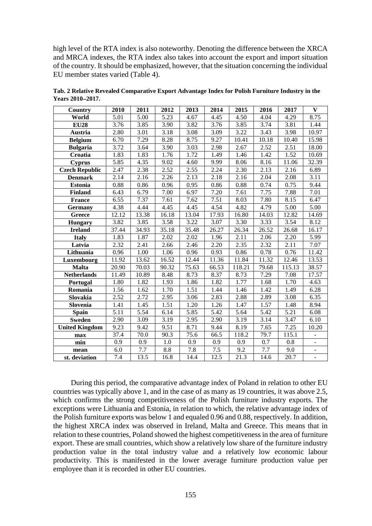high level of the RTA index is also noteworthy. Denoting the difference between the XRCA and MRCA indexes, the RTA index also takes into account the export and import situation of the country. It should be emphasized, however, that the situation concerning the individual EU member states varied (Table 4).

| Country               | 2010              | 2011  | 2012              | 2013  | 2014  | 2015              | 2016  | 2017   | $\mathbf{V}$             |
|-----------------------|-------------------|-------|-------------------|-------|-------|-------------------|-------|--------|--------------------------|
| World                 | 5.01              | 5.00  | 5.23              | 4.67  | 4.45  | 4.50              | 4.04  | 4.29   | 8.75                     |
| <b>EU28</b>           | 3.76              | 3.85  | 3.90              | 3.82  | 3.76  | 3.85              | 3.74  | 3.81   | 1.44                     |
| Austria               | 2.80              | 3.01  | 3.18              | 3.08  | 3.09  | 3.22              | 3.43  | 3.98   | 10.97                    |
| <b>Belgium</b>        | 6.70              | 7.29  | 8.28              | 8.75  | 9.27  | 10.41             | 10.18 | 10.40  | 15.98                    |
| <b>Bulgaria</b>       | 3.72              | 3.64  | 3.90              | 3.03  | 2.98  | 2.67              | 2.52  | 2.51   | 18.00                    |
| Croatia               | 1.83              | 1.83  | 1.76              | 1.72  | 1.49  | 1.46              | 1.42  | 1.52   | 10.69                    |
| <b>Cyprus</b>         | 5.85              | 4.35  | 9.02              | 4.60  | 9.99  | 8.06              | 8.16  | 11.06  | 32.39                    |
| <b>Czech Republic</b> | 2.47              | 2.38  | 2.52              | 2.55  | 2.24  | 2.30              | 2.13  | 2.16   | 6.89                     |
| <b>Denmark</b>        | 2.14              | 2.16  | 2.26              | 2.13  | 2.18  | 2.16              | 2.04  | 2.08   | 3.11                     |
| <b>Estonia</b>        | 0.88              | 0.86  | 0.96              | 0.95  | 0.86  | 0.88              | 0.74  | 0.75   | 9.44                     |
| <b>Finland</b>        | 6.43              | 6.79  | 7.00              | 6.97  | 7.20  | 7.61              | 7.75  | 7.88   | 7.01                     |
| <b>France</b>         | 6.55              | 7.37  | 7.61              | 7.62  | 7.51  | 8.03              | 7.80  | 8.15   | 6.47                     |
| <b>Germany</b>        | 4.38              | 4.44  | 4.45              | 4.45  | 4.54  | 4.82              | 4.79  | 5.00   | 5.00                     |
| Greece                | 12.12             | 13.38 | 16.18             | 13.04 | 17.93 | 16.80             | 14.03 | 12.82  | 14.69                    |
| <b>Hungary</b>        | 3.82              | 3.85  | 3.58              | 3.22  | 3.07  | 3.30              | 3.33  | 3.54   | 8.12                     |
| <b>Ireland</b>        | 37.44             | 34.93 | 35.18             | 35.48 | 26.27 | 26.34             | 26.52 | 26.68  | 16.17                    |
| <b>Italy</b>          | 1.83              | 1.87  | $\overline{2.02}$ | 2.02  | 1.96  | 2.11              | 2.06  | 2.20   | 5.99                     |
| Latvia                | 2.32              | 2.41  | 2.66              | 2.46  | 2.20  | $\overline{2.35}$ | 2.32  | 2.11   | $\frac{1}{7.07}$         |
| Lithuania             | 0.96              | 1.00  | 1.06              | 0.96  | 0.93  | 0.86              | 0.78  | 0.76   | 11.42                    |
| Luxembourg            | 11.92             | 13.62 | 16.52             | 12.44 | 11.36 | 11.84             | 11.32 | 12.46  | 13.53                    |
| <b>Malta</b>          | 20.90             | 70.03 | 90.32             | 75.63 | 66.53 | 118.21            | 79.68 | 115.13 | 38.57                    |
| <b>Netherlands</b>    | 11.49             | 10.89 | 8.48              | 8.73  | 8.37  | 8.73              | 7.29  | 7.08   | 17.57                    |
| <b>Portugal</b>       | 1.80              | 1.82  | 1.93              | 1.86  | 1.82  | 1.77              | 1.68  | 1.70   | 4.63                     |
| Romania               | 1.56              | 1.62  | 1.70              | 1.51  | 1.44  | 1.46              | 1.42  | 1.49   | 6.28                     |
| Slovakia              | 2.52              | 2.72  | 2.95              | 3.06  | 2.83  | 2.88              | 2.89  | 3.08   | 6.35                     |
| Slovenia              | 1.41              | 1.45  | 1.51              | 1.20  | 1.26  | 1.47              | 1.57  | 1.48   | 8.94                     |
| <b>Spain</b>          | 5.11              | 5.54  | 6.14              | 5.85  | 5.42  | 5.64              | 5.42  | 5.21   | 6.08                     |
| <b>Sweden</b>         | $\overline{2.90}$ | 3.09  | 3.19              | 2.95  | 2.90  | 3.19              | 3.14  | 3.47   | 6.10                     |
| <b>United Kingdom</b> | 9.23              | 9.42  | 9.51              | 8.71  | 9.44  | 8.19              | 7.65  | 7.25   | 10.20                    |
| max                   | 37.4              | 70.0  | 90.3              | 75.6  | 66.5  | 118.2             | 79.7  | 115.1  | $\overline{\phantom{0}}$ |
| min                   | 0.9               | 0.9   | 1.0               | 0.9   | 0.9   | 0.9               | 0.7   | 0.8    | $\overline{\phantom{a}}$ |
| mean                  | 6.0               | 7.7   | 8.8               | 7.8   | 7.5   | 9.2               | 7.7   | 9.0    | ÷,                       |
| st. deviation         | $\overline{7.4}$  | 13.5  | 16.8              | 14.4  | 12.5  | $\overline{21.3}$ | 14.6  | 20.7   | $\overline{a}$           |

**Tab. 2 Relative Revealed Comparative Export Advantage Index for Polish Furniture Industry in the Years 20102017.**

During this period, the comparative advantage index of Poland in relation to other EU countries was typically above 1, and in the case of as many as 19 countries, it was above 2.5, which confirms the strong competitiveness of the Polish furniture industry exports. The exceptions were Lithuania and Estonia, in relation to which, the relative advantage index of the Polish furniture exports was below 1 and equaled 0.96 and 0.88, respectively. In addition, the highest XRCA index was observed in Ireland, Malta and Greece. This means that in relation to these countries, Poland showed the highest competitiveness in the area of furniture export. These are small countries, which show a relatively low share of the furniture industry production value in the total industry value and a relatively low economic labour productivity. This is manifested in the lower average furniture production value per employee than it is recorded in other EU countries.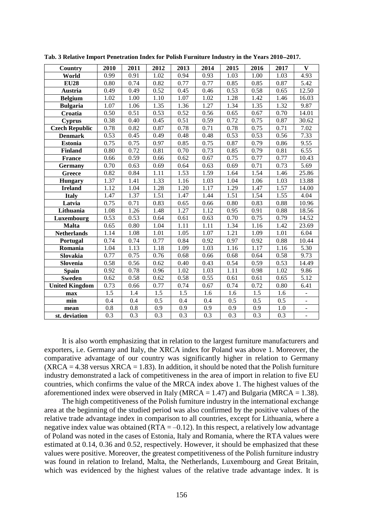| Country               | 2010             | 2011             | 2012              | 2013 | 2014             | 2015 | 2016             | 2017             | $\mathbf{V}$      |
|-----------------------|------------------|------------------|-------------------|------|------------------|------|------------------|------------------|-------------------|
| World                 | 0.99             | 0.91             | 1.02              | 0.94 | 0.93             | 1.03 | 1.00             | 1.03             | 4.93              |
| <b>EU28</b>           | 0.80             | 0.74             | 0.82              | 0.77 | 0.77             | 0.85 | 0.85             | 0.87             | 5.42              |
| <b>Austria</b>        | 0.49             | 0.49             | 0.52              | 0.45 | 0.46             | 0.53 | 0.58             | 0.65             | 12.50             |
| <b>Belgium</b>        | 1.02             | 1.00             | 1.10              | 1.07 | 1.02             | 1.28 | 1.42             | 1.46             | 16.03             |
| <b>Bulgaria</b>       | 1.07             | 1.06             | 1.35              | 1.36 | 1.27             | 1.34 | 1.35             | 1.32             | 9.87              |
| Croatia               | 0.50             | 0.51             | 0.53              | 0.52 | 0.56             | 0.65 | 0.67             | 0.70             | 14.01             |
| <b>Cyprus</b>         | 0.38             | 0.40             | 0.45              | 0.51 | 0.59             | 0.72 | 0.75             | 0.87             | 30.62             |
| <b>Czech Republic</b> | 0.78             | 0.82             | 0.87              | 0.78 | 0.71             | 0.78 | 0.75             | 0.71             | 7.02              |
| <b>Denmark</b>        | 0.53             | 0.45             | 0.49              | 0.48 | 0.48             | 0.53 | 0.53             | 0.56             | 7.33              |
| <b>Estonia</b>        | 0.75             | 0.75             | 0.97              | 0.85 | 0.75             | 0.87 | 0.79             | 0.86             | 9.55              |
| <b>Finland</b>        | 0.80             | 0.72             | 0.81              | 0.70 | 0.73             | 0.85 | 0.79             | 0.81             | 6.55              |
| <b>France</b>         | 0.66             | 0.59             | 0.66              | 0.62 | 0.67             | 0.75 | 0.77             | 0.77             | 10.43             |
| <b>Germany</b>        | 0.70             | 0.63             | 0.69              | 0.64 | 0.63             | 0.69 | 0.71             | 0.73             | 5.69              |
| <b>Greece</b>         | 0.82             | 0.84             | $\overline{1.11}$ | 1.53 | 1.59             | 1.64 | 1.54             | 1.46             | 25.86             |
| <b>Hungary</b>        | 1.37             | 1.41             | 1.33              | 1.16 | 1.03             | 1.04 | 1.06             | 1.03             | 13.88             |
| <b>Ireland</b>        | 1.12             | 1.04             | 1.28              | 1.20 | 1.17             | 1.29 | 1.47             | 1.57             | 14.00             |
| <b>Italy</b>          | 1.47             | 1.37             | 1.51              | 1.47 | 1.44             | 1.51 | 1.54             | 1.55             | 4.04              |
| Latvia                | 0.75             | 0.71             | 0.83              | 0.65 | 0.66             | 0.80 | 0.83             | 0.88             | 10.96             |
| Lithuania             | 1.08             | 1.26             | 1.48              | 1.27 | 1.12             | 0.95 | 0.91             | 0.88             | 18.56             |
| Luxembourg            | 0.53             | 0.53             | 0.64              | 0.61 | 0.63             | 0.70 | 0.75             | 0.79             | 14.52             |
| <b>Malta</b>          | 0.65             | 0.80             | 1.04              | 1.11 | 1.11             | 1.34 | 1.16             | 1.42             | 23.69             |
| <b>Netherlands</b>    | 1.14             | 1.08             | 1.01              | 1.05 | 1.07             | 1.21 | 1.09             | 1.01             | 6.04              |
| Portugal              | 0.74             | 0.74             | 0.77              | 0.84 | 0.92             | 0.97 | 0.92             | 0.88             | 10.44             |
| Romania               | 1.04             | 1.13             | 1.18              | 1.09 | 1.03             | 1.16 | 1.17             | 1.16             | 5.30              |
| Slovakia              | 0.77             | 0.75             | 0.76              | 0.68 | 0.66             | 0.68 | 0.64             | 0.58             | 9.73              |
| Slovenia              | 0.58             | 0.56             | 0.62              | 0.40 | 0.43             | 0.54 | 0.59             | 0.53             | 14.49             |
| <b>Spain</b>          | 0.92             | 0.78             | 0.96              | 1.02 | 1.03             | 1.11 | 0.98             | 1.02             | 9.86              |
| <b>Sweden</b>         | 0.62             | 0.58             | 0.62              | 0.58 | 0.55             | 0.61 | 0.61             | 0.65             | $\overline{5.12}$ |
| <b>United Kingdom</b> | 0.73             | 0.66             | 0.77              | 0.74 | 0.67             | 0.74 | 0.72             | 0.80             | 6.41              |
| max                   | 1.5              | 1.4              | 1.5               | 1.5  | 1.6              | 1.6  | 1.5              | 1.6              | $\blacksquare$    |
| min                   | 0.4              | 0.4              | 0.5               | 0.4  | 0.4              | 0.5  | 0.5              | 0.5              | $\blacksquare$    |
| mean                  | 0.8              | 0.8              | 0.9               | 0.9  | 0.9              | 0.9  | 0.9              | 1.0              | $\equiv$          |
| st. deviation         | $\overline{0.3}$ | $\overline{0.3}$ | 0.3               | 0.3  | $\overline{0.3}$ | 0.3  | $\overline{0.3}$ | $\overline{0.3}$ | $\overline{a}$    |

**Tab. 3 Relative Import Penetration Index for Polish Furniture Industry in the Years 20102017.**

It is also worth emphasizing that in relation to the largest furniture manufacturers and exporters, i.e. Germany and Italy, the XRCA index for Poland was above 1. Moreover, the comparative advantage of our country was significantly higher in relation to Germany  $(XRCA = 4.38 \text{ versus } XRCA = 1.83)$ . In addition, it should be noted that the Polish furniture industry demonstrated a lack of competitiveness in the area of import in relation to five EU countries, which confirms the value of the MRCA index above 1. The highest values of the aforementioned index were observed in Italy (MRCA =  $1.47$ ) and Bulgaria (MRCA =  $1.38$ ).

The high competitiveness of the Polish furniture industry in the international exchange area at the beginning of the studied period was also confirmed by the positive values of the relative trade advantage index in comparison to all countries, except for Lithuania, where a negative index value was obtained  $(RTA = -0.12)$ . In this respect, a relatively low advantage of Poland was noted in the cases of Estonia, Italy and Romania, where the RTA values were estimated at 0.14, 0.36 and 0.52, respectively. However, it should be emphasized that these values were positive. Moreover, the greatest competitiveness of the Polish furniture industry was found in relation to Ireland, Malta, the Netherlands, Luxembourg and Great Britain, which was evidenced by the highest values of the relative trade advantage index. It is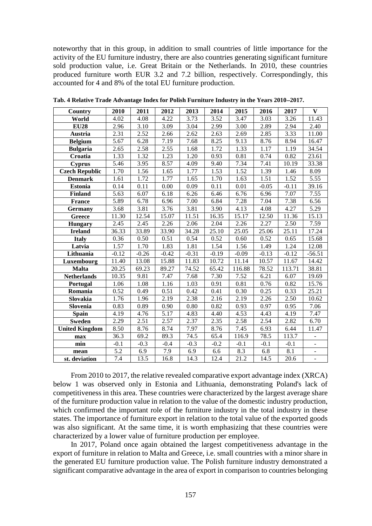noteworthy that in this group, in addition to small countries of little importance for the activity of the EU furniture industry, there are also countries generating significant furniture sold production value, i.e. Great Britain or the Netherlands. In 2010, these countries produced furniture worth EUR 3.2 and 7.2 billion, respectively. Correspondingly, this accounted for 4 and 8% of the total EU furniture production.

| <b>Country</b>        | 2010              | 2011    | 2012    | 2013    | 2014    | 2015    | 2016    | 2017    | $\bf{V}$                 |
|-----------------------|-------------------|---------|---------|---------|---------|---------|---------|---------|--------------------------|
| World                 | 4.02              | 4.08    | 4.22    | 3.73    | 3.52    | 3.47    | 3.03    | 3.26    | 11.43                    |
| <b>EU28</b>           | 2.96              | 3.10    | 3.09    | 3.04    | 2.99    | 3.00    | 2.89    | 2.94    | 2.40                     |
| Austria               | 2.31              | 2.52    | 2.66    | 2.62    | 2.63    | 2.69    | 2.85    | 3.33    | 11.00                    |
| <b>Belgium</b>        | 5.67              | 6.28    | 7.19    | 7.68    | 8.25    | 9.13    | 8.76    | 8.94    | 16.47                    |
| <b>Bulgaria</b>       | 2.65              | 2.58    | 2.55    | 1.68    | 1.72    | 1.33    | 1.17    | 1.19    | 34.54                    |
| Croatia               | 1.33              | 1.32    | 1.23    | 1.20    | 0.93    | 0.81    | 0.74    | 0.82    | 23.61                    |
| <b>Cyprus</b>         | 5.46              | 3.95    | 8.57    | 4.09    | 9.40    | 7.34    | 7.41    | 10.19   | 33.38                    |
| <b>Czech Republic</b> | 1.70              | 1.56    | 1.65    | 1.77    | 1.53    | 1.52    | 1.39    | 1.46    | 8.09                     |
| <b>Denmark</b>        | 1.61              | 1.72    | 1.77    | 1.65    | 1.70    | 1.63    | 1.51    | 1.52    | 5.55                     |
| <b>Estonia</b>        | 0.14              | 0.11    | 0.00    | 0.09    | 0.11    | 0.01    | $-0.05$ | $-0.11$ | 39.16                    |
| Finland               | 5.63              | 6.07    | 6.18    | 6.26    | 6.46    | 6.76    | 6.96    | 7.07    | 7.55                     |
| <b>France</b>         | 5.89              | 6.78    | 6.96    | 7.00    | 6.84    | 7.28    | 7.04    | 7.38    | 6.56                     |
| <b>Germany</b>        | $\overline{3.68}$ | 3.81    | 3.76    | 3.81    | 3.90    | 4.13    | 4.08    | 4.27    | 5.29                     |
| Greece                | 11.30             | 12.54   | 15.07   | 11.51   | 16.35   | 15.17   | 12.50   | 11.36   | 15.13                    |
| <b>Hungary</b>        | 2.45              | 2.45    | 2.26    | 2.06    | 2.04    | 2.26    | 2.27    | 2.50    | 7.59                     |
| <b>Ireland</b>        | 36.33             | 33.89   | 33.90   | 34.28   | 25.10   | 25.05   | 25.06   | 25.11   | 17.24                    |
| <b>Italy</b>          | 0.36              | 0.50    | 0.51    | 0.54    | 0.52    | 0.60    | 0.52    | 0.65    | 15.68                    |
| Latvia                | 1.57              | 1.70    | 1.83    | 1.81    | 1.54    | 1.56    | 1.49    | 1.24    | 12.08                    |
| Lithuania             | $-0.12$           | $-0.26$ | $-0.42$ | $-0.31$ | $-0.19$ | $-0.09$ | $-0.13$ | $-0.12$ | $-56.51$                 |
| Luxembourg            | 11.40             | 13.08   | 15.88   | 11.83   | 10.72   | 11.14   | 10.57   | 11.67   | 14.42                    |
| <b>Malta</b>          | 20.25             | 69.23   | 89.27   | 74.52   | 65.42   | 116.88  | 78.52   | 113.71  | 38.81                    |
| <b>Netherlands</b>    | 10.35             | 9.81    | 7.47    | 7.68    | 7.30    | 7.52    | 6.21    | 6.07    | 19.69                    |
| <b>Portugal</b>       | 1.06              | 1.08    | 1.16    | 1.03    | 0.91    | 0.81    | 0.76    | 0.82    | 15.76                    |
| Romania               | 0.52              | 0.49    | 0.51    | 0.42    | 0.41    | 0.30    | 0.25    | 0.33    | 25.21                    |
| Slovakia              | 1.76              | 1.96    | 2.19    | 2.38    | 2.16    | 2.19    | 2.26    | 2.50    | 10.62                    |
| Slovenia              | 0.83              | 0.89    | 0.90    | 0.80    | 0.82    | 0.93    | 0.97    | 0.95    | 7.06                     |
| <b>Spain</b>          | 4.19              | 4.76    | 5.17    | 4.83    | 4.40    | 4.53    | 4.43    | 4.19    | $\overline{7.47}$        |
| <b>Sweden</b>         | 2.29              | 2.51    | 2.57    | 2.37    | 2.35    | 2.58    | 2.54    | 2.82    | 6.70                     |
| <b>United Kingdom</b> | $\overline{8.50}$ | 8.76    | 8.74    | 7.97    | 8.76    | 7.45    | 6.93    | 6.44    | 11.47                    |
| max                   | 36.3              | 69.2    | 89.3    | 74.5    | 65.4    | 116.9   | 78.5    | 113.7   | $\frac{1}{2}$            |
| min                   | $-0.1$            | $-0.3$  | $-0.4$  | $-0.3$  | $-0.2$  | $-0.1$  | $-0.1$  | $-0.1$  | $\overline{\phantom{a}}$ |
| mean                  | $\overline{5.2}$  | 6.9     | 7.9     | 6.9     | 6.6     | 8.3     | 6.8     | 8.1     | $\overline{\phantom{a}}$ |
| st. deviation         | 7.4               | 13.5    | 16.8    | 14.3    | 12.4    | 21.2    | 14.5    | 20.6    | $\overline{a}$           |

**Tab. 4 Relative Trade Advantage Index for Polish Furniture Industry in the Years 20102017.**

From 2010 to 2017, the relative revealed comparative export advantage index (XRCA) below 1 was observed only in Estonia and Lithuania, demonstrating Poland's lack of competitiveness in this area. These countries were characterized by the largest average share of the furniture production value in relation to the value of the domestic industry production, which confirmed the important role of the furniture industry in the total industry in these states. The importance of furniture export in relation to the total value of the exported goods was also significant. At the same time, it is worth emphasizing that these countries were characterized by a lower value of furniture production per employee.

In 2017, Poland once again obtained the largest competitiveness advantage in the export of furniture in relation to Malta and Greece, i.e. small countries with a minor share in the generated EU furniture production value. The Polish furniture industry demonstrated a significant comparative advantage in the area of export in comparison to countries belonging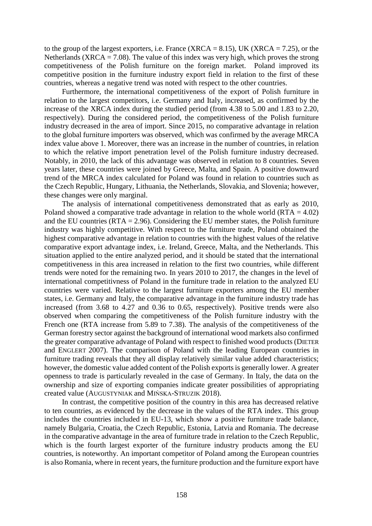to the group of the largest exporters, i.e. France (XRCA =  $8.15$ ), UK (XRCA =  $7.25$ ), or the Netherlands (XRCA = 7.08). The value of this index was very high, which proves the strong competitiveness of the Polish furniture on the foreign market. Poland improved its competitive position in the furniture industry export field in relation to the first of these countries, whereas a negative trend was noted with respect to the other countries.

Furthermore, the international competitiveness of the export of Polish furniture in relation to the largest competitors, i.e. Germany and Italy, increased, as confirmed by the increase of the XRCA index during the studied period (from 4.38 to 5.00 and 1.83 to 2.20, respectively). During the considered period, the competitiveness of the Polish furniture industry decreased in the area of import. Since 2015, no comparative advantage in relation to the global furniture importers was observed, which was confirmed by the average MRCA index value above 1. Moreover, there was an increase in the number of countries, in relation to which the relative import penetration level of the Polish furniture industry decreased. Notably, in 2010, the lack of this advantage was observed in relation to 8 countries. Seven years later, these countries were joined by Greece, Malta, and Spain. A positive downward trend of the MRCA index calculated for Poland was found in relation to countries such as the Czech Republic, Hungary, Lithuania, the Netherlands, Slovakia, and Slovenia; however, these changes were only marginal.

The analysis of international competitiveness demonstrated that as early as 2010, Poland showed a comparative trade advantage in relation to the whole world  $(RTA = 4.02)$ and the EU countries ( $RTA = 2.96$ ). Considering the EU member states, the Polish furniture industry was highly competitive. With respect to the furniture trade, Poland obtained the highest comparative advantage in relation to countries with the highest values of the relative comparative export advantage index, i.e. Ireland, Greece, Malta, and the Netherlands. This situation applied to the entire analyzed period, and it should be stated that the international competitiveness in this area increased in relation to the first two countries, while different trends were noted for the remaining two. In years 2010 to 2017, the changes in the level of international competitivness of Poland in the furniture trade in relation to the analyzed EU countries were varied. Relative to the largest furniture exporters among the EU member states, i.e. Germany and Italy, the comparative advantage in the furniture industry trade has increased (from 3.68 to 4.27 and 0.36 to 0.65, respectively). Positive trends were also observed when comparing the competitiveness of the Polish furniture industry with the French one (RTA increase from 5.89 to 7.38). The analysis of the competitiveness of the German forestry sector against the background of international wood markets also confirmed the greater comparative advantage of Poland with respect to finished wood products (DIETER and ENGLERT 2007). The comparison of Poland with the leading European countries in furniture trading reveals that they all display relatively similar value added characteristics; however, the domestic value added content of the Polish exports is generally lower. A greater openness to trade is particularly revealed in the case of Germany. In Italy, the data on the ownership and size of exporting companies indicate greater possibilities of appropriating created value (AUGUSTYNIAK and MIŃSKA-STRUZIK 2018).

In contrast, the competitive position of the country in this area has decreased relative to ten countries, as evidenced by the decrease in the values of the RTA index. This group includes the countries included in EU-13, which show a positive furniture trade balance, namely Bulgaria, Croatia, the Czech Republic, Estonia, Latvia and Romania. The decrease in the comparative advantage in the area of furniture trade in relation to the Czech Republic, which is the fourth largest exporter of the furniture industry products among the EU countries, is noteworthy. An important competitor of Poland among the European countries is also Romania, where in recent years, the furniture production and the furniture export have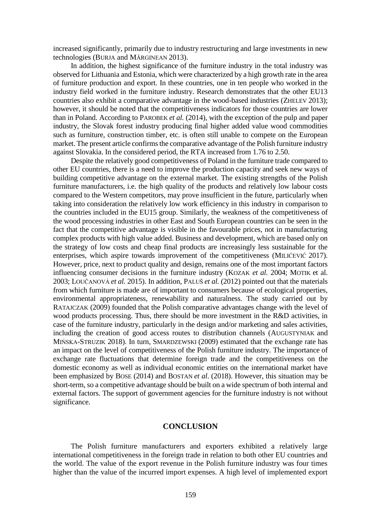increased significantly, primarily due to industry restructuring and large investments in new technologies (BURJA and MĂRGINEAN 2013).

In addition, the highest significance of the furniture industry in the total industry was observed for Lithuania and Estonia, which were characterized by a high growth rate in the area of furniture production and export. In these countries, one in ten people who worked in the industry field worked in the furniture industry. Research demonstrates that the other EU13 countries also exhibit a comparative advantage in the wood-based industries (ZHELEV 2013); however, it should be noted that the competitiveness indicators for those countries are lower than in Poland. According to PAROBEK *et al.* (2014), with the exception of the pulp and paper industry, the Slovak forest industry producing final higher added value wood commodities such as furniture, construction timber, etc. is often still unable to compete on the European market. The present article confirms the comparative advantage of the Polish furniture industry against Slovakia. In the considered period, the RTA increased from 1.76 to 2.50.

Despite the relatively good competitiveness of Poland in the furniture trade compared to other EU countries, there is a need to improve the production capacity and seek new ways of building competitive advantage on the external market. The existing strengths of the Polish furniture manufacturers, i.e. the high quality of the products and relatively low labour costs compared to the Western competitors, may prove insufficient in the future, particularly when taking into consideration the relatively low work efficiency in this industry in comparison to the countries included in the EU15 group. Similarly, the weakness of the competitiveness of the wood processing industries in other East and South European countries can be seen in the fact that the competitive advantage is visible in the favourable prices, not in manufacturing complex products with high value added. Business and development, which are based only on the strategy of low costs and cheap final products are increasingly less sustainable for the enterprises, which aspire towards improvement of the competitiveness (MILIĆEVIĆ 2017). However, price, next to product quality and design, remains one of the most important factors influencing consumer decisions in the furniture industry (KOZAK *et al.* 2004; MOTIK et al. 2003; LOUČANOVÁ *et al.* 2015). In addition, PALUŠ *et al.* (2012) pointed out that the materials from which furniture is made are of important to consumers because of ecological properties, environmental appropriateness, renewability and naturalness. The study carried out by RATAJCZAK (2009) founded that the Polish comparative advantages change with the level of wood products processing. Thus, there should be more investment in the R&D activities, in case of the furniture industry, particularly in the design and/or marketing and sales activities, including the creation of good access routes to distribution channels (AUGUSTYNIAK and MIŃSKA-STRUZIK 2018). In turn, SMARDZEWSKI (2009) estimated that the exchange rate has an impact on the level of competitiveness of the Polish furniture industry. The importance of exchange rate fluctuations that determine foreign trade and the competitiveness on the domestic economy as well as individual economic entities on the international market have been emphasized by BOSE (2014) and BOSTAN *et al*. (2018). However, this situation may be short-term, so a competitive advantage should be built on a wide spectrum of both internal and external factors. The support of government agencies for the furniture industry is not without significance.

## **CONCLUSION**

The Polish furniture manufacturers and exporters exhibited a relatively large international competitiveness in the foreign trade in relation to both other EU countries and the world. The value of the export revenue in the Polish furniture industry was four times higher than the value of the incurred import expenses. A high level of implemented export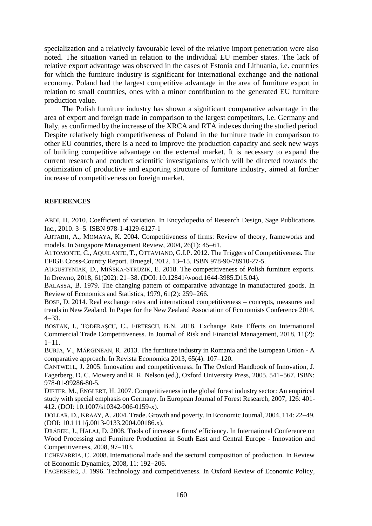specialization and a relatively favourable level of the relative import penetration were also noted. The situation varied in relation to the individual EU member states. The lack of relative export advantage was observed in the cases of Estonia and Lithuania, i.e. countries for which the furniture industry is significant for international exchange and the national economy. Poland had the largest competitive advantage in the area of furniture export in relation to small countries, ones with a minor contribution to the generated EU furniture production value.

The Polish furniture industry has shown a significant comparative advantage in the area of export and foreign trade in comparison to the largest competitors, i.e. Germany and Italy, as confirmed by the increase of the XRCA and RTA indexes during the studied period. Despite relatively high competitiveness of Poland in the furniture trade in comparison to other EU countries, there is a need to improve the production capacity and seek new ways of building competitive advantage on the external market. It is necessary to expand the current research and conduct scientific investigations which will be directed towards the optimization of productive and exporting structure of furniture industry, aimed at further increase of competitiveness on foreign market.

### **REFERENCES**

ABDI, H. 2010. Coefficient of variation. In Encyclopedia of Research Design, Sage Publications Inc., 2010. 3-5. ISBN 978-1-4129-6127-1

AJITABH, A., MOMAYA, K. 2004. Competitiveness of firms: Review of theory, frameworks and models. In Singapore Management Review, 2004, 26(1): 45–61.

ALTOMONTE, C., AQUILANTE, T., OTTAVIANO, G.I.P. 2012. The Triggers of Competitiveness. The EFIGE Cross-Country Report. Bruegel, 2012. 13–15. ISBN 978-90-78910-27-5.

AUGUSTYNIAK, D., MIŃSKA-STRUZIK, E. 2018. The competitiveness of Polish furniture exports. In Drewno, 2018, 61(202): 21-38. (DOI: 10.12841/wood.1644-3985.D15.04).

BALASSA, B. 1979. The changing pattern of comparative advantage in manufactured goods. In Review of Economics and Statistics,  $1979, 61(2)$ :  $259-266$ .

BOSE, D. 2014. Real exchange rates and international competitiveness – concepts, measures and trends in New Zealand. In Paper for the New Zealand Association of Economists Conference 2014,  $4 - 33$ .

BOSTAN, I., TODERAȘCU, C., FIRTESCU, B.N. 2018. Exchange Rate Effects on International Commercial Trade Competitiveness. In Journal of Risk and Financial Management, 2018, 11(2):  $1 - 11$ .

BURJA, V., MĂRGINEAN, R. 2013. The furniture industry in Romania and the European Union - A comparative approach. In Revista Economica 2013,  $65(4)$ : 107-120.

CANTWELL, J. 2005. Innovation and competitiveness. In The Oxford Handbook of Innovation, J. Fagerberg, D. C. Mowery and R. R. Nelson (ed.), Oxford University Press, 2005. 541–567. ISBN: 978-01-99286-80-5.

DIETER, M., ENGLERT, H. 2007. Competitiveness in the global forest industry sector: An empirical study with special emphasis on Germany. In European Journal of Forest Research, 2007, 126: 401- 412. (DOI: 10.1007/s10342-006-0159-x).

DOLLAR, D., KRAAY, A. 2004. Trade. Growth and poverty. In Economic Journal, 2004, 114: 22–49. (DOI: 10.1111/j.0013-0133.2004.00186.x).

DRÁBEK, J., HALAJ, D. 2008. Tools of increase a firms' efficiency. In International Conference on Wood Processing and Furniture Production in South East and Central Europe - Innovation and Competitiveness, 2008, 97-103.

ECHEVARRIA, C. 2008. International trade and the sectoral composition of production. In Review of Economic Dynamics, 2008, 11: 192-206.

FAGERBERG, J. 1996. Technology and competitiveness. In Oxford Review of Economic Policy,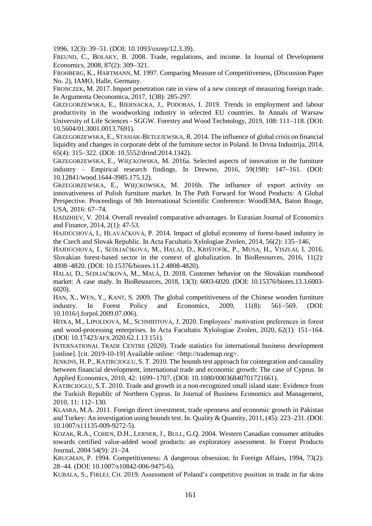1996, 12(3): 39–51. (DOI: 10.1093/oxrep/12.3.39).

FREUND, C., BOLAKY, B. 2008. Trade, regulations, and income. In Journal of Development Economics, 2008, 87(2): 309–321.

FROHBERG, K., HARTMANN, M. 1997. Comparing Measure of Competitiveness, (Discussion Paper No. 2), IAMO, Halle, Germany.

FRONCZEK, M. 2017. Import penetration rate in view of a new concept of measuring foreign trade. In Argumenta Oeconomica, 2017, 1(38): 285-297.

GRZEGORZEWSKA, E., BIERNACKA, J., PODOBAS, I. 2019. Trends in employment and labour productivity in the woodworking industry in selected EU countries. In Annals of Warsaw University of Life Sciences - SGGW. Forestry and Wood Technology, 2019, 108: 111–118. (DOI: 10.5604/01.3001.0013.7691).

GRZEGORZEWSKA, E., STASIAK-BETLEJEWSKA, R. 2014. The influence of global crisis on financial liquidity and changes in corporate debt of the furniture sector in Poland. In Drvna Industrija, 2014, 65(4): 315-322. (DOI: 10.5552/drind.2014.1342).

GRZEGORZEWSKA, E., WIECKOWSKA, M. 2016a. Selected aspects of innovation in the furniture industry – Empirical research findings. In Drewno, 2016, 59(198):  $147-161$ . (DOI: 10.12841/wood.1644-3985.175.12).

GRZEGORZEWSKA, E., WIECKOWSKA, M. 2016b. The influence of export activity on innovativeness of Polish furniture market. In The Path Forward for Wood Products: A Global Perspective. Proceedings of 9th International Scientific Conference: WoodEMA, Baton Rouge, USA, 2016: 67-74.

HADZHIEV, V. 2014. Overall revealed comparative advantages. In Eurasian Journal of Economics and Finance, 2014, 2(1): 47-53.

HAJDÚCHOVÁ, I., HLAVÁČKOVÁ, P. 2014. Impact of global economy of forest-based industry in the Czech and Slovak Republic. In Acta Facultatis Xylologiae Zvolen, 2014, 56(2): 135–146,

HAJDÚCHOVÁ, I., SEDLIAČIKOVÁ, M., HALAJ, D., KRIŠTOFÍK, P., MUSA, H., VISZLAI, I. 2016. Slovakian forest-based sector in the context of globalization. In BioResources, 2016, 11(2): 48084820. (DOI: 10.15376/biores.11.2.4808-4820).

HALAJ, D., SEDLIAČIKOVÁ, M., MALÁ, D. 2018. Customer behavior on the Slovakian roundwood market: A case study. In BioResources, 2018, 13(3): 6003-6020. (DOI: 10.15376/biores.13.3.6003- 6020).

HAN, X., WEN, Y., KANT, S. 2009. The global competitiveness of the Chinese wooden furniture industry. In Forest Policy and Economics,  $2009$ ,  $11(8)$ :  $561-569$ . (DOI: 10.1016/j.forpol.2009.07.006).

HITKA, M., LIPOLDOVÁ, M., SCHMIDTOVÁ, J. 2020. Employees' motivation preferences in forest and wood-processing enterprises. In Acta Facultatis Xylologiae Zvolen,  $2020$ ,  $62(1)$ :  $151-164$ . (DOI: 10.17423/AFX.2020.62.1.13 151).

INTERNATIONAL TRADE CENTRE (2020). Trade statistics for international business development [online]. [cit. 2019-10-19] Available online: <http://trademap.org>.

JENKINS, H. P., KATIRCIOGLU, S. T. 2010. The bounds test approach for cointegration and causality between financial development, international trade and economic growth: The case of Cyprus. In Applied Economics, 2010, 42: 1699-1707. (DOI: 10.1080/00036840701721661).

KATIRCIOGLU, S.T. 2010. Trade and growth in a non-recognized small island state: Evidence from the Turkish Republic of Northern Cyprus. In Journal of Business Economics and Management, 2010, 11: 112-130.

KLASRA, M.A. 2011. Foreign direct investment, trade openness and economic growth in Pakistan and Turkey: An investigation using bounds test. In. Quality & Quantity, 2011, (45): 223–231. (DOI: 10.1007/s11135-009-9272-5).

KOZAK, R.A., COHEN, D.H., LERNER, J., BULL, G.Q. 2004. Western Canadian consumer attitudes towards certified value-added wood products: an exploratory assessment. In Forest Products Journal, 2004 54(9): 21-24.

KRUGMAN, P. 1994. Competitiveness: A dangerous obsession. In Foreign Affairs, 1994, 73(2): 2844. (DOI: 10.1007/s10842-006-9475-6).

KUBALA, S., FIRLEJ, CH. 2019. Assessment of Poland's competitive position in trade in fur skins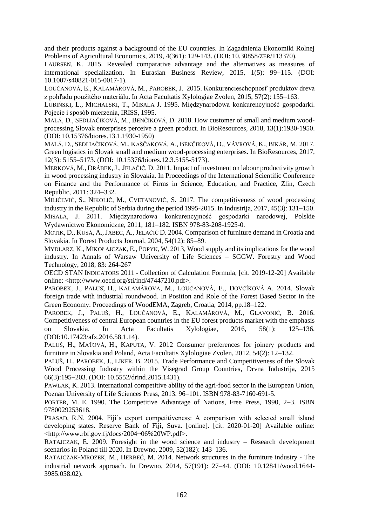and their products against a background of the EU countries. In Zagadnienia Ekonomiki Rolnej Problems of Agricultural Economics, 2019, 4(361): 129-143. (DOI: 10.30858/ZER/113370).

LAURSEN, K. 2015. Revealed comparative advantage and the alternatives as measures of international specialization. In Eurasian Business Review, 2015, 1(5): 99-115. (DOI: 10.1007/s40821-015-0017-1).

LOUČANOVÁ, E., KALAMÁROVÁ, M., PAROBEK, J. 2015. Konkurencieschopnosť produktov dreva z pohľadu použitého materiálu. In Acta Facultatis Xylologiae Zvolen, 2015, 57(2): 155–163.

LUBIŃSKI, L., MICHALSKI, T., MISALA J. 1995. Międzynarodowa konkurencyjność gospodarki. Pojęcie i sposób mierzenia, IRISS, 1995.

MALÁ, D., SEDLIAČIKOVÁ, M., BENČIKOVÁ, D. 2018. How customer of small and medium woodprocessing Slovak enterprises perceive a green product. In BioResources, 2018, 13(1):1930-1950. (DOI: 10.15376/biores.13.1.1930-1950)

MALÁ, D., SEDLIAČIKOVÁ, M., KAŠČÁKOVÁ, A., BENČIKOVÁ, D., VÁVROVÁ, K., BIKÁR, M. 2017. Green logistics in Slovak small and medium wood-processing enterprises. In BioResources, 2017, 12(3): 5155–5173. (DOI: 10.15376/biores.12.3.5155-5173).

MERKOVÁ, M., DRÁBEK,J., JELAČIĆ, D. 2011. Impact of investment on labour productivity growth in wood processing industry in Slovakia. In Proceedings of the International Scientific Conference on Finance and the Performance of Firms in Science, Education, and Practice, Zlin, Czech Republic, 2011: 324–332.

MILIĆEVIĆ, S., NIKOLIĆ, M., CVETANOVIĆ, S. 2017. The competitiveness of wood processing industry in the Republic of Serbia during the period 1995-2015. In Industrija,  $2017$ ,  $45(3)$ : 131–150. MISALA, J. 2011. Międzynarodowa konkurencyjność gospodarki narodowej, Polskie Wydawnictwo Ekonomiczne, 2011, 181-182. ISBN 978-83-208-1925-0.

MOTIK, D., KUSÁ, A.,JABEC, A., JELAČIĆ D. 2004. Comparison of furniture demand in Croatia and Slovakia. In Forest Products Journal, 2004, 54(12): 85-89.

MYDLARZ, K., MIKOŁAJCZAK, E., POPYK, W. 2013, Wood supply and its implications for the wood industry. In Annals of Warsaw University of Life Sciences – SGGW. Forestry and Wood Technology, 2018, 83: 264-267

OECD STAN INDICATORS 2011 - Collection of Calculation Formula, [cit. 2019-12-20] Available online: <http://www.oecd.org/sti/ind/47447210.pdf>.

PAROBEK, J., PALUS, H., KALAMÁROVA, M., LOUČANOVÁ, E., DOVČÍKOVÁ A. 2014. Slovak foreign trade with industrial roundwood. In Position and Role of the Forest Based Sector in the Green Economy: Proceedings of WoodEMA, Zagreb, Croatia, 2014, pp.18–122.

PAROBEK, J., PALUŠ, H., LOUČANOVÁ, E., KALAMÁROVÁ, M., GLAVONIĆ, B. 2016. Competitiveness of central European countries in the EU forest products market with the emphasis on Slovakia. In Acta Facultatis Xylologiae, 2016, 58(1): 125-136. (DOI:10.17423/afx.2016.58.1.14).

PALUŠ, H., MAŤOVÁ, H., KAPUTA, V. 2012 Consumer preferences for joinery products and furniture in Slovakia and Poland, Acta Facultatis Xylologiae Zvolen, 2012, 54(2): 12–132.

PALUŠ, H., PAROBEK, J., LIKER, B. 2015. Trade Performance and Competitiveness of the Slovak Wood Processing Industry within the Visegrad Group Countries, Drvna Industrija, 2015 66(3):195-203. (DOI: 10.5552/drind.2015.1431).

PAWLAK, K. 2013. International competitive ability of the agri-food sector in the European Union, Poznan University of Life Sciences Press, 2013. 96-101. ISBN 978-83-7160-691-5.

PORTER, M. E. 1990. The Competitive Advantage of Nations, Free Press, 1990, 2-3. ISBN 9780029253618.

PRASAD, R.N. 2004. Fiji's export competitiveness: A comparison with selected small island developing states. Reserve Bank of Fiji, Suva. [online]. [cit. 2020-01-20] Available online: <http://www.rbf.gov.fj/docs/2004~06%20WP.pdf>.

RATAJCZAK, E. 2009. Foresight in the wood science and industry – Research development scenarios in Poland till 2020. In Drewno, 2009, 52(182): 143–136.

RATAJCZAK-MROZEK, M., HERBEĆ, M. 2014. Network structures in the furniture industry - The industrial network approach. In Drewno, 2014, 57(191): 27–44. (DOI: 10.12841/wood.1644-3985.058.02).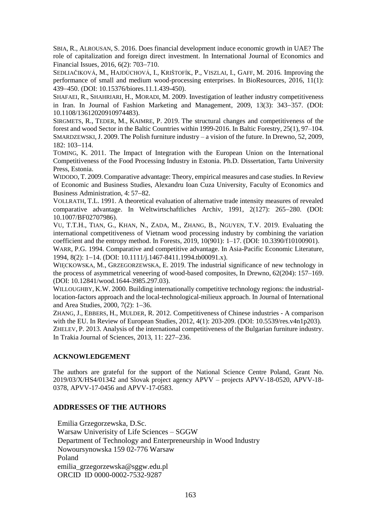SBIA, R., ALROUSAN, S. 2016. Does financial development induce economic growth in UAE? The role of capitalization and foreign direct investment. In International Journal of Economics and Financial Issues, 2016, 6(2): 703-710.

SEDLIAČIKOVÁ, M., HAJDÚCHOVÁ, I., KRIŠTOFÍK, P., VISZLAI, I., GAFF, M. 2016. Improving the performance of small and medium wood-processing enterprises. In BioResources, 2016, 11(1): 439450. (DOI: 10.15376/biores.11.1.439-450).

SHAFAEI, R., SHAHRIARI, H., MORADI, M. 2009. Investigation of leather industry competitiveness in Iran. In Journal of Fashion Marketing and Management,  $2009$ ,  $13(3)$ :  $343-357$ . (DOI: 10.1108/13612020910974483).

SIRGMETS, R., TEDER, M., KAIMRE, P. 2019. The structural changes and competitiveness of the forest and wood Sector in the Baltic Countries within 1999-2016. In Baltic Forestry, 25(1), 97–104. SMARDZEWSKI,J. 2009. The Polish furniture industry – a vision of the future. In Drewno, 52, 2009, 182: 103-114.

TOMING, K. 2011. The Impact of Integration with the European Union on the International Competitiveness of the Food Processing Industry in Estonia. Ph.D. Dissertation, Tartu University Press, Estonia.

WIDODO, T. 2009.Comparative advantage: Theory, empirical measures and case studies. In Review of Economic and Business Studies, Alexandru Ioan Cuza University, Faculty of Economics and Business Administration, 4: 57–82.

VOLLRATH, T.L. 1991. A theoretical evaluation of alternative trade intensity measures of revealed comparative advantage. In Weltwirtschaftliches Archiv, 1991, 2(127): 265-280. (DOI: 10.1007/BF02707986).

VU, T.T.H., TIAN, G., KHAN, N., ZADA, M., ZHANG, B., NGUYEN, T.V. 2019. Evaluating the international competitiveness of Vietnam wood processing industry by combining the variation coefficient and the entropy method. In Forests, 2019, 10(901): 1–17. (DOI: 10.3390/f10100901).

WARR, P.G. 1994. Comparative and competitive advantage. In Asia-Pacific Economic Literature, 1994, 8(2): 1-14. (DOI: 10.1111/j.1467-8411.1994.tb00091.x).

WIĘCKOWSKA, M., GRZEGORZEWSKA, E. 2019. The industrial significance of new technology in the process of asymmetrical veneering of wood-based composites, In Drewno, 62(204): 157–169. (DOI: 10.12841/wood.1644-3985.297.03).

WILLOUGHBY, K.W. 2000. Building internationally competitive technology regions: the industriallocation-factors approach and the local-technological-milieux approach. In Journal of International and Area Studies,  $2000, 7(2)$ : 1-36.

ZHANG, J., EBBERS, H., MULDER, R. 2012. Competitiveness of Chinese industries - A comparison with the EU. In Review of European Studies, 2012, 4(1): 203-209. (DOI: 10.5539/res.v4n1p203). ZHELEV, P. 2013. Analysis of the international competitiveness of the Bulgarian furniture industry. In Trakia Journal of Sciences,  $2013$ ,  $11: 227-236$ .

# **ACKNOWLEDGEMENT**

The authors are grateful for the support of the National Science Centre Poland, Grant No. 2019/03/X/HS4/01342 and Slovak project agency APVV – projects APVV-18-0520, APVV-18- 0378, APVV-17-0456 and APVV-17-0583.

### **ADDRESSES OF THE AUTHORS**

Emilia Grzegorzewska, D.Sc.

Warsaw Univerisity of Life Sciences – SGGW Department of Technology and Enterpreneurship in Wood Industry Nowoursynowska 159 02-776 Warsaw Poland emilia\_grzegorzewska@sggw.edu.pl ORCID ID 0000-0002-7532-9287